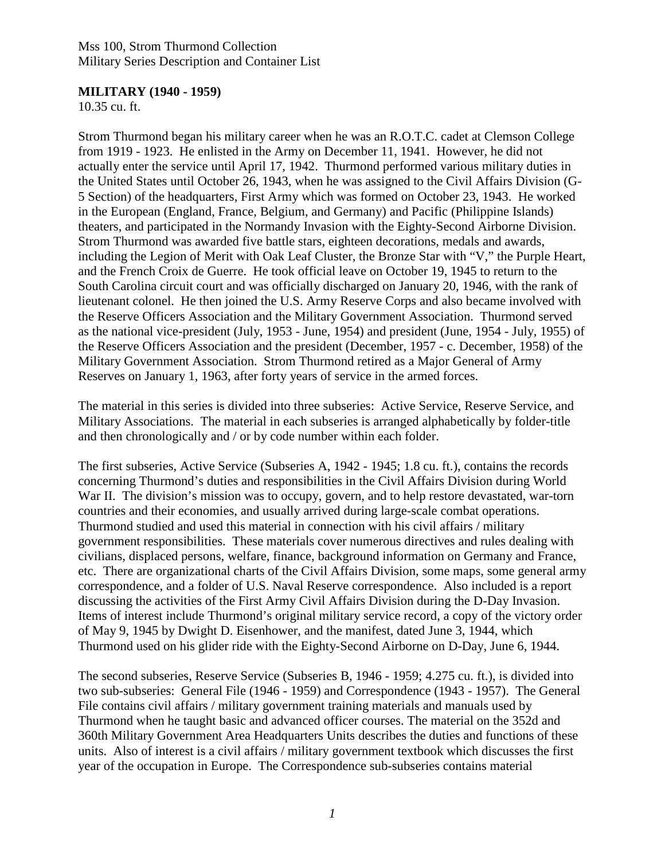#### **MILITARY (1940 - 1959)**

10.35 cu. ft.

Strom Thurmond began his military career when he was an R.O.T.C. cadet at Clemson College from 1919 - 1923. He enlisted in the Army on December 11, 1941. However, he did not actually enter the service until April 17, 1942. Thurmond performed various military duties in the United States until October 26, 1943, when he was assigned to the Civil Affairs Division (G-5 Section) of the headquarters, First Army which was formed on October 23, 1943. He worked in the European (England, France, Belgium, and Germany) and Pacific (Philippine Islands) theaters, and participated in the Normandy Invasion with the Eighty-Second Airborne Division. Strom Thurmond was awarded five battle stars, eighteen decorations, medals and awards, including the Legion of Merit with Oak Leaf Cluster, the Bronze Star with "V," the Purple Heart, and the French Croix de Guerre. He took official leave on October 19, 1945 to return to the South Carolina circuit court and was officially discharged on January 20, 1946, with the rank of lieutenant colonel. He then joined the U.S. Army Reserve Corps and also became involved with the Reserve Officers Association and the Military Government Association. Thurmond served as the national vice-president (July, 1953 - June, 1954) and president (June, 1954 - July, 1955) of the Reserve Officers Association and the president (December, 1957 - c. December, 1958) of the Military Government Association. Strom Thurmond retired as a Major General of Army Reserves on January 1, 1963, after forty years of service in the armed forces.

The material in this series is divided into three subseries: Active Service, Reserve Service, and Military Associations. The material in each subseries is arranged alphabetically by folder-title and then chronologically and / or by code number within each folder.

The first subseries, Active Service (Subseries A, 1942 - 1945; 1.8 cu. ft.), contains the records concerning Thurmond's duties and responsibilities in the Civil Affairs Division during World War II. The division's mission was to occupy, govern, and to help restore devastated, war-torn countries and their economies, and usually arrived during large-scale combat operations. Thurmond studied and used this material in connection with his civil affairs / military government responsibilities. These materials cover numerous directives and rules dealing with civilians, displaced persons, welfare, finance, background information on Germany and France, etc. There are organizational charts of the Civil Affairs Division, some maps, some general army correspondence, and a folder of U.S. Naval Reserve correspondence. Also included is a report discussing the activities of the First Army Civil Affairs Division during the D-Day Invasion. Items of interest include Thurmond's original military service record, a copy of the victory order of May 9, 1945 by Dwight D. Eisenhower, and the manifest, dated June 3, 1944, which Thurmond used on his glider ride with the Eighty-Second Airborne on D-Day, June 6, 1944.

The second subseries, Reserve Service (Subseries B, 1946 - 1959; 4.275 cu. ft.), is divided into two sub-subseries: General File (1946 - 1959) and Correspondence (1943 - 1957). The General File contains civil affairs / military government training materials and manuals used by Thurmond when he taught basic and advanced officer courses. The material on the 352d and 360th Military Government Area Headquarters Units describes the duties and functions of these units. Also of interest is a civil affairs / military government textbook which discusses the first year of the occupation in Europe. The Correspondence sub-subseries contains material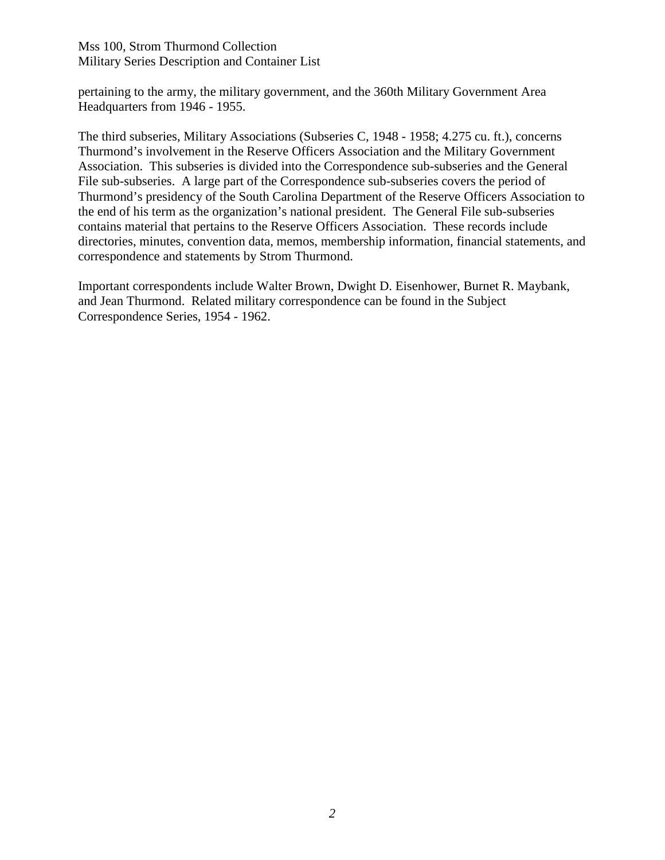pertaining to the army, the military government, and the 360th Military Government Area Headquarters from 1946 - 1955.

The third subseries, Military Associations (Subseries C, 1948 - 1958; 4.275 cu. ft.), concerns Thurmond's involvement in the Reserve Officers Association and the Military Government Association. This subseries is divided into the Correspondence sub-subseries and the General File sub-subseries. A large part of the Correspondence sub-subseries covers the period of Thurmond's presidency of the South Carolina Department of the Reserve Officers Association to the end of his term as the organization's national president. The General File sub-subseries contains material that pertains to the Reserve Officers Association. These records include directories, minutes, convention data, memos, membership information, financial statements, and correspondence and statements by Strom Thurmond.

Important correspondents include Walter Brown, Dwight D. Eisenhower, Burnet R. Maybank, and Jean Thurmond. Related military correspondence can be found in the Subject Correspondence Series, 1954 - 1962.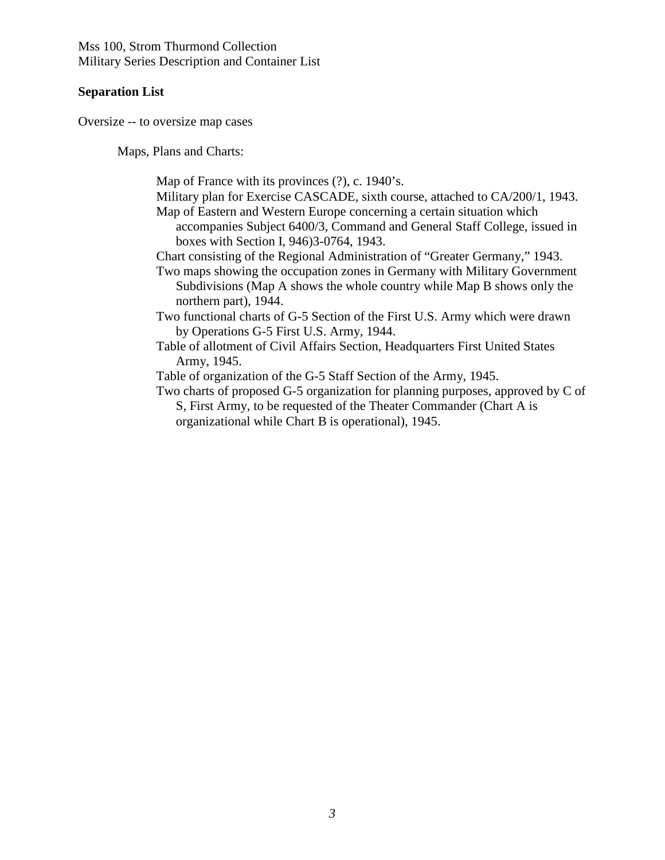#### **Separation List**

Oversize -- to oversize map cases

Maps, Plans and Charts:

Map of France with its provinces (?), c. 1940's.

- Military plan for Exercise CASCADE, sixth course, attached to CA/200/1, 1943. Map of Eastern and Western Europe concerning a certain situation which
	- accompanies Subject 6400/3, Command and General Staff College, issued in boxes with Section I, 946)3-0764, 1943.
- Chart consisting of the Regional Administration of "Greater Germany," 1943.
- Two maps showing the occupation zones in Germany with Military Government Subdivisions (Map A shows the whole country while Map B shows only the northern part), 1944.
- Two functional charts of G-5 Section of the First U.S. Army which were drawn by Operations G-5 First U.S. Army, 1944.
- Table of allotment of Civil Affairs Section, Headquarters First United States Army, 1945.

Table of organization of the G-5 Staff Section of the Army, 1945.

Two charts of proposed G-5 organization for planning purposes, approved by C of S, First Army, to be requested of the Theater Commander (Chart A is organizational while Chart B is operational), 1945.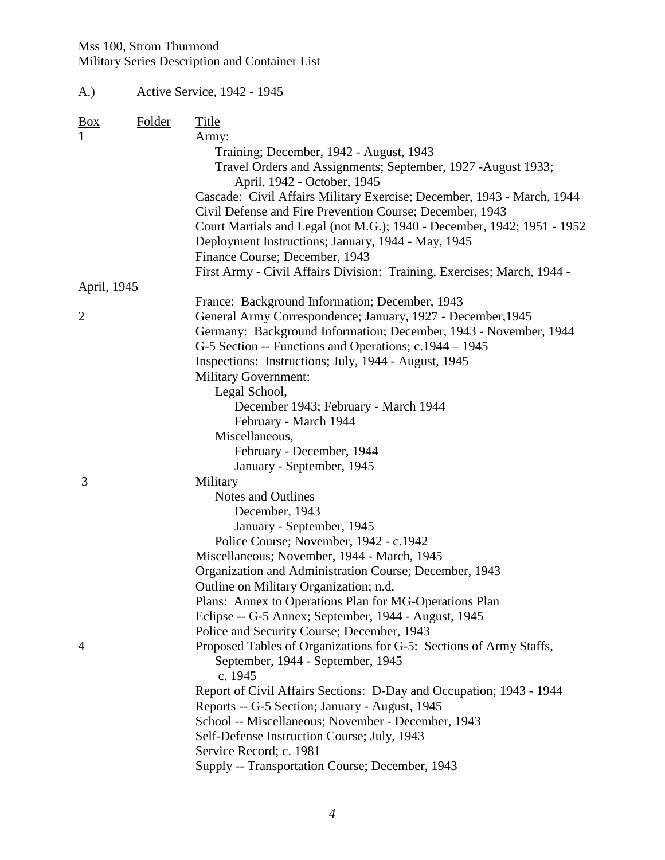| <b>Folder</b><br><b>Title</b><br>Army:<br>Training; December, 1942 - August, 1943<br>Travel Orders and Assignments; September, 1927 -August 1933;<br>April, 1942 - October, 1945<br>Cascade: Civil Affairs Military Exercise; December, 1943 - March, 1944<br>Civil Defense and Fire Prevention Course; December, 1943<br>Court Martials and Legal (not M.G.); 1940 - December, 1942; 1951 - 1952<br>Deployment Instructions; January, 1944 - May, 1945<br>Finance Course; December, 1943<br>First Army - Civil Affairs Division: Training, Exercises; March, 1944 -<br>April, 1945<br>France: Background Information; December, 1943<br>General Army Correspondence; January, 1927 - December, 1945<br>Germany: Background Information; December, 1943 - November, 1944<br>G-5 Section -- Functions and Operations; c.1944 – 1945<br>Inspections: Instructions; July, 1944 - August, 1945<br><b>Military Government:</b><br>Legal School,<br>December 1943; February - March 1944<br>February - March 1944<br>Miscellaneous,<br>February - December, 1944<br>January - September, 1945<br>3<br>Military<br>Notes and Outlines<br>December, 1943 | (A.)                |  | Active Service, 1942 - 1945 |  |
|--------------------------------------------------------------------------------------------------------------------------------------------------------------------------------------------------------------------------------------------------------------------------------------------------------------------------------------------------------------------------------------------------------------------------------------------------------------------------------------------------------------------------------------------------------------------------------------------------------------------------------------------------------------------------------------------------------------------------------------------------------------------------------------------------------------------------------------------------------------------------------------------------------------------------------------------------------------------------------------------------------------------------------------------------------------------------------------------------------------------------------------------------|---------------------|--|-----------------------------|--|
|                                                                                                                                                                                                                                                                                                                                                                                                                                                                                                                                                                                                                                                                                                                                                                                                                                                                                                                                                                                                                                                                                                                                                  | $\frac{Box}{angle}$ |  |                             |  |
|                                                                                                                                                                                                                                                                                                                                                                                                                                                                                                                                                                                                                                                                                                                                                                                                                                                                                                                                                                                                                                                                                                                                                  | 1                   |  |                             |  |
|                                                                                                                                                                                                                                                                                                                                                                                                                                                                                                                                                                                                                                                                                                                                                                                                                                                                                                                                                                                                                                                                                                                                                  |                     |  |                             |  |
|                                                                                                                                                                                                                                                                                                                                                                                                                                                                                                                                                                                                                                                                                                                                                                                                                                                                                                                                                                                                                                                                                                                                                  |                     |  |                             |  |
|                                                                                                                                                                                                                                                                                                                                                                                                                                                                                                                                                                                                                                                                                                                                                                                                                                                                                                                                                                                                                                                                                                                                                  |                     |  |                             |  |
|                                                                                                                                                                                                                                                                                                                                                                                                                                                                                                                                                                                                                                                                                                                                                                                                                                                                                                                                                                                                                                                                                                                                                  |                     |  |                             |  |
|                                                                                                                                                                                                                                                                                                                                                                                                                                                                                                                                                                                                                                                                                                                                                                                                                                                                                                                                                                                                                                                                                                                                                  |                     |  |                             |  |
|                                                                                                                                                                                                                                                                                                                                                                                                                                                                                                                                                                                                                                                                                                                                                                                                                                                                                                                                                                                                                                                                                                                                                  |                     |  |                             |  |
|                                                                                                                                                                                                                                                                                                                                                                                                                                                                                                                                                                                                                                                                                                                                                                                                                                                                                                                                                                                                                                                                                                                                                  |                     |  |                             |  |
|                                                                                                                                                                                                                                                                                                                                                                                                                                                                                                                                                                                                                                                                                                                                                                                                                                                                                                                                                                                                                                                                                                                                                  |                     |  |                             |  |
|                                                                                                                                                                                                                                                                                                                                                                                                                                                                                                                                                                                                                                                                                                                                                                                                                                                                                                                                                                                                                                                                                                                                                  |                     |  |                             |  |
|                                                                                                                                                                                                                                                                                                                                                                                                                                                                                                                                                                                                                                                                                                                                                                                                                                                                                                                                                                                                                                                                                                                                                  |                     |  |                             |  |
|                                                                                                                                                                                                                                                                                                                                                                                                                                                                                                                                                                                                                                                                                                                                                                                                                                                                                                                                                                                                                                                                                                                                                  | $\overline{2}$      |  |                             |  |
|                                                                                                                                                                                                                                                                                                                                                                                                                                                                                                                                                                                                                                                                                                                                                                                                                                                                                                                                                                                                                                                                                                                                                  |                     |  |                             |  |
|                                                                                                                                                                                                                                                                                                                                                                                                                                                                                                                                                                                                                                                                                                                                                                                                                                                                                                                                                                                                                                                                                                                                                  |                     |  |                             |  |
|                                                                                                                                                                                                                                                                                                                                                                                                                                                                                                                                                                                                                                                                                                                                                                                                                                                                                                                                                                                                                                                                                                                                                  |                     |  |                             |  |
|                                                                                                                                                                                                                                                                                                                                                                                                                                                                                                                                                                                                                                                                                                                                                                                                                                                                                                                                                                                                                                                                                                                                                  |                     |  |                             |  |
|                                                                                                                                                                                                                                                                                                                                                                                                                                                                                                                                                                                                                                                                                                                                                                                                                                                                                                                                                                                                                                                                                                                                                  |                     |  |                             |  |
|                                                                                                                                                                                                                                                                                                                                                                                                                                                                                                                                                                                                                                                                                                                                                                                                                                                                                                                                                                                                                                                                                                                                                  |                     |  |                             |  |
|                                                                                                                                                                                                                                                                                                                                                                                                                                                                                                                                                                                                                                                                                                                                                                                                                                                                                                                                                                                                                                                                                                                                                  |                     |  |                             |  |
|                                                                                                                                                                                                                                                                                                                                                                                                                                                                                                                                                                                                                                                                                                                                                                                                                                                                                                                                                                                                                                                                                                                                                  |                     |  |                             |  |
|                                                                                                                                                                                                                                                                                                                                                                                                                                                                                                                                                                                                                                                                                                                                                                                                                                                                                                                                                                                                                                                                                                                                                  |                     |  |                             |  |
|                                                                                                                                                                                                                                                                                                                                                                                                                                                                                                                                                                                                                                                                                                                                                                                                                                                                                                                                                                                                                                                                                                                                                  |                     |  |                             |  |
|                                                                                                                                                                                                                                                                                                                                                                                                                                                                                                                                                                                                                                                                                                                                                                                                                                                                                                                                                                                                                                                                                                                                                  |                     |  |                             |  |
|                                                                                                                                                                                                                                                                                                                                                                                                                                                                                                                                                                                                                                                                                                                                                                                                                                                                                                                                                                                                                                                                                                                                                  |                     |  |                             |  |
|                                                                                                                                                                                                                                                                                                                                                                                                                                                                                                                                                                                                                                                                                                                                                                                                                                                                                                                                                                                                                                                                                                                                                  |                     |  |                             |  |
| January - September, 1945                                                                                                                                                                                                                                                                                                                                                                                                                                                                                                                                                                                                                                                                                                                                                                                                                                                                                                                                                                                                                                                                                                                        |                     |  |                             |  |
| Police Course; November, 1942 - c.1942                                                                                                                                                                                                                                                                                                                                                                                                                                                                                                                                                                                                                                                                                                                                                                                                                                                                                                                                                                                                                                                                                                           |                     |  |                             |  |
| Miscellaneous; November, 1944 - March, 1945                                                                                                                                                                                                                                                                                                                                                                                                                                                                                                                                                                                                                                                                                                                                                                                                                                                                                                                                                                                                                                                                                                      |                     |  |                             |  |
| Organization and Administration Course; December, 1943                                                                                                                                                                                                                                                                                                                                                                                                                                                                                                                                                                                                                                                                                                                                                                                                                                                                                                                                                                                                                                                                                           |                     |  |                             |  |
| Outline on Military Organization; n.d.                                                                                                                                                                                                                                                                                                                                                                                                                                                                                                                                                                                                                                                                                                                                                                                                                                                                                                                                                                                                                                                                                                           |                     |  |                             |  |
| Plans: Annex to Operations Plan for MG-Operations Plan                                                                                                                                                                                                                                                                                                                                                                                                                                                                                                                                                                                                                                                                                                                                                                                                                                                                                                                                                                                                                                                                                           |                     |  |                             |  |
| Eclipse -- G-5 Annex; September, 1944 - August, 1945<br>Police and Security Course; December, 1943                                                                                                                                                                                                                                                                                                                                                                                                                                                                                                                                                                                                                                                                                                                                                                                                                                                                                                                                                                                                                                               |                     |  |                             |  |
| Proposed Tables of Organizations for G-5: Sections of Army Staffs,                                                                                                                                                                                                                                                                                                                                                                                                                                                                                                                                                                                                                                                                                                                                                                                                                                                                                                                                                                                                                                                                               | $\overline{4}$      |  |                             |  |
| September, 1944 - September, 1945<br>c. 1945                                                                                                                                                                                                                                                                                                                                                                                                                                                                                                                                                                                                                                                                                                                                                                                                                                                                                                                                                                                                                                                                                                     |                     |  |                             |  |
| Report of Civil Affairs Sections: D-Day and Occupation; 1943 - 1944                                                                                                                                                                                                                                                                                                                                                                                                                                                                                                                                                                                                                                                                                                                                                                                                                                                                                                                                                                                                                                                                              |                     |  |                             |  |
| Reports -- G-5 Section; January - August, 1945                                                                                                                                                                                                                                                                                                                                                                                                                                                                                                                                                                                                                                                                                                                                                                                                                                                                                                                                                                                                                                                                                                   |                     |  |                             |  |
| School -- Miscellaneous; November - December, 1943                                                                                                                                                                                                                                                                                                                                                                                                                                                                                                                                                                                                                                                                                                                                                                                                                                                                                                                                                                                                                                                                                               |                     |  |                             |  |
| Self-Defense Instruction Course; July, 1943                                                                                                                                                                                                                                                                                                                                                                                                                                                                                                                                                                                                                                                                                                                                                                                                                                                                                                                                                                                                                                                                                                      |                     |  |                             |  |
| Service Record; c. 1981                                                                                                                                                                                                                                                                                                                                                                                                                                                                                                                                                                                                                                                                                                                                                                                                                                                                                                                                                                                                                                                                                                                          |                     |  |                             |  |
| Supply -- Transportation Course; December, 1943                                                                                                                                                                                                                                                                                                                                                                                                                                                                                                                                                                                                                                                                                                                                                                                                                                                                                                                                                                                                                                                                                                  |                     |  |                             |  |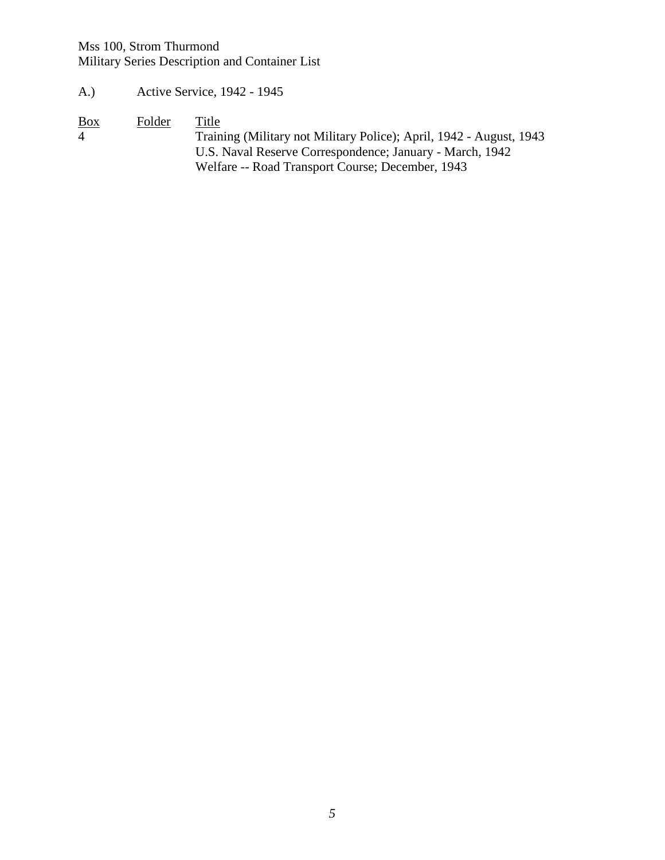- A.) Active Service, 1942 1945
- 

Box Folder Title<br>4 Traini 4 Training (Military not Military Police); April, 1942 - August, 1943 U.S. Naval Reserve Correspondence; January - March, 1942 Welfare -- Road Transport Course; December, 1943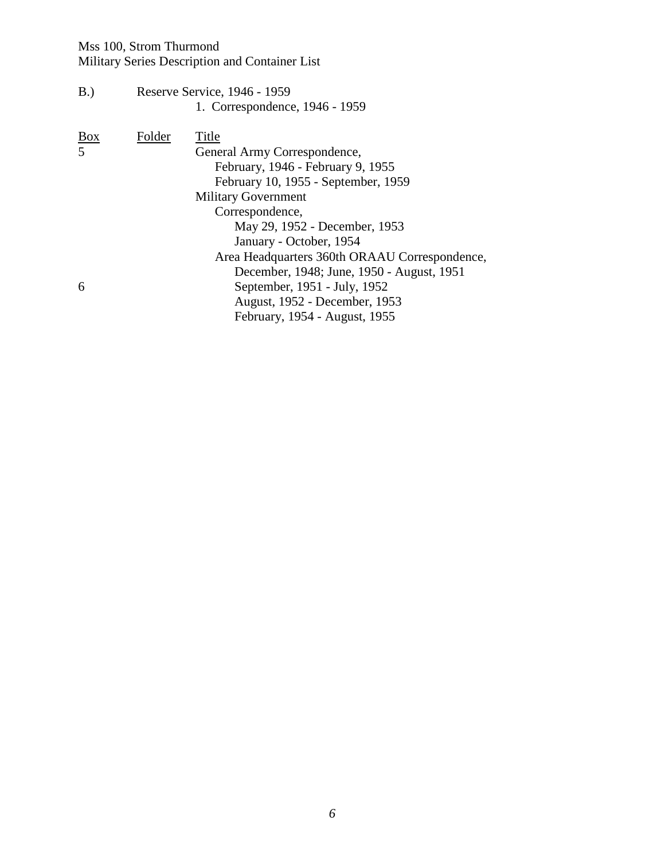# Mss 100, Strom Thurmond

Military Series Description and Container List

B.) Reserve Service, 1946 - 1959 1. Correspondence, 1946 - 1959

| Box<br>5 | Folder | Title<br>General Army Correspondence,<br>February, 1946 - February 9, 1955<br>February 10, 1955 - September, 1959<br><b>Military Government</b><br>Correspondence,<br>May 29, 1952 - December, 1953                     |  |
|----------|--------|-------------------------------------------------------------------------------------------------------------------------------------------------------------------------------------------------------------------------|--|
| 6        |        | January - October, 1954<br>Area Headquarters 360th ORAAU Correspondence,<br>December, 1948; June, 1950 - August, 1951<br>September, 1951 - July, 1952<br>August, 1952 - December, 1953<br>February, 1954 - August, 1955 |  |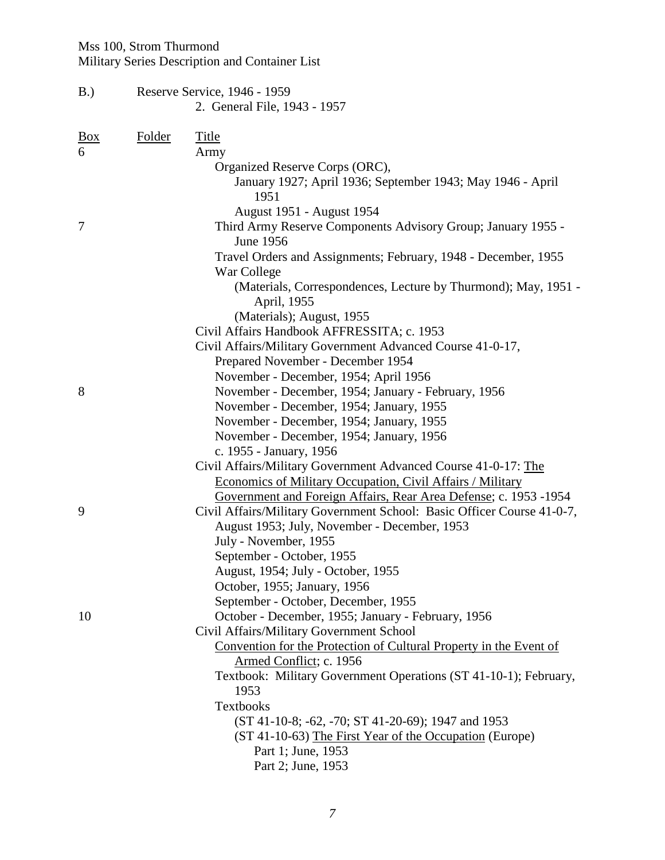| B.)             |               | Reserve Service, 1946 - 1959<br>2. General File, 1943 - 1957                                                                                                                                                                                                                                                                                                                                                                                                           |  |  |
|-----------------|---------------|------------------------------------------------------------------------------------------------------------------------------------------------------------------------------------------------------------------------------------------------------------------------------------------------------------------------------------------------------------------------------------------------------------------------------------------------------------------------|--|--|
| <u>Box</u><br>6 | <b>Folder</b> | <b>Title</b><br>Army<br>Organized Reserve Corps (ORC),<br>January 1927; April 1936; September 1943; May 1946 - April<br>1951                                                                                                                                                                                                                                                                                                                                           |  |  |
| 7               |               | August 1951 - August 1954<br>Third Army Reserve Components Advisory Group; January 1955 -<br><b>June 1956</b><br>Travel Orders and Assignments; February, 1948 - December, 1955<br>War College<br>(Materials, Correspondences, Lecture by Thurmond); May, 1951 -<br>April, 1955<br>(Materials); August, 1955<br>Civil Affairs Handbook AFFRESSITA; c. 1953<br>Civil Affairs/Military Government Advanced Course 41-0-17,<br>Prepared November - December 1954          |  |  |
| 8               |               | November - December, 1954; April 1956<br>November - December, 1954; January - February, 1956<br>November - December, 1954; January, 1955<br>November - December, 1954; January, 1955<br>November - December, 1954; January, 1956<br>c. 1955 - January, 1956<br>Civil Affairs/Military Government Advanced Course 41-0-17: The<br><b>Economics of Military Occupation, Civil Affairs / Military</b><br>Government and Foreign Affairs, Rear Area Defense; c. 1953 -1954 |  |  |
| 9               |               | Civil Affairs/Military Government School: Basic Officer Course 41-0-7,<br>August 1953; July, November - December, 1953<br>July - November, 1955<br>September - October, 1955<br>August, 1954; July - October, 1955<br>October, 1955; January, 1956<br>September - October, December, 1955                                                                                                                                                                              |  |  |
| 10              |               | October - December, 1955; January - February, 1956<br>Civil Affairs/Military Government School<br>Convention for the Protection of Cultural Property in the Event of<br>Armed Conflict; c. 1956<br>Textbook: Military Government Operations (ST 41-10-1); February,<br>1953<br>Textbooks<br>(ST 41-10-8; -62, -70; ST 41-20-69); 1947 and 1953<br>(ST 41-10-63) The First Year of the Occupation (Europe)<br>Part 1; June, 1953<br>Part 2; June, 1953                  |  |  |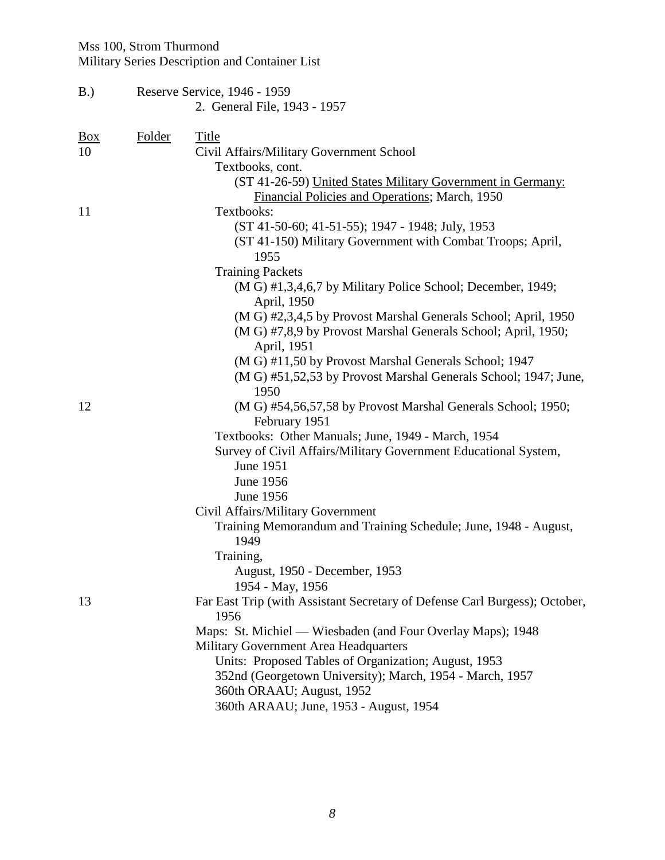# Mss 100, Strom Thurmond

Military Series Description and Container List

| B.)        |        | Reserve Service, 1946 - 1959                                                       |  |  |  |
|------------|--------|------------------------------------------------------------------------------------|--|--|--|
|            |        | 2. General File, 1943 - 1957                                                       |  |  |  |
| <b>Box</b> | Folder | <b>Title</b>                                                                       |  |  |  |
| 10         |        | Civil Affairs/Military Government School                                           |  |  |  |
|            |        | Textbooks, cont.                                                                   |  |  |  |
|            |        | (ST 41-26-59) United States Military Government in Germany:                        |  |  |  |
|            |        | Financial Policies and Operations; March, 1950                                     |  |  |  |
| 11         |        | Textbooks:                                                                         |  |  |  |
|            |        | (ST 41-50-60; 41-51-55); 1947 - 1948; July, 1953                                   |  |  |  |
|            |        | (ST 41-150) Military Government with Combat Troops; April,                         |  |  |  |
|            |        | 1955                                                                               |  |  |  |
|            |        | <b>Training Packets</b>                                                            |  |  |  |
|            |        | (M G) #1,3,4,6,7 by Military Police School; December, 1949;<br>April, 1950         |  |  |  |
|            |        | (M G) #2,3,4,5 by Provost Marshal Generals School; April, 1950                     |  |  |  |
|            |        | (M G) #7,8,9 by Provost Marshal Generals School; April, 1950;                      |  |  |  |
|            |        | April, 1951                                                                        |  |  |  |
|            |        | (M G) #11,50 by Provost Marshal Generals School; 1947                              |  |  |  |
|            |        | (M G) #51,52,53 by Provost Marshal Generals School; 1947; June,<br>1950            |  |  |  |
| 12         |        | (M G) #54,56,57,58 by Provost Marshal Generals School; 1950;<br>February 1951      |  |  |  |
|            |        | Textbooks: Other Manuals; June, 1949 - March, 1954                                 |  |  |  |
|            |        | Survey of Civil Affairs/Military Government Educational System,                    |  |  |  |
|            |        | <b>June 1951</b>                                                                   |  |  |  |
|            |        | June 1956                                                                          |  |  |  |
|            |        | June 1956                                                                          |  |  |  |
|            |        | Civil Affairs/Military Government                                                  |  |  |  |
|            |        | Training Memorandum and Training Schedule; June, 1948 - August,<br>1949            |  |  |  |
|            |        | Training,                                                                          |  |  |  |
|            |        | August, 1950 - December, 1953<br>1954 - May, 1956                                  |  |  |  |
| 13         |        | Far East Trip (with Assistant Secretary of Defense Carl Burgess); October,<br>1956 |  |  |  |
|            |        | Maps: St. Michiel — Wiesbaden (and Four Overlay Maps); 1948                        |  |  |  |
|            |        | Military Government Area Headquarters                                              |  |  |  |
|            |        | Units: Proposed Tables of Organization; August, 1953                               |  |  |  |
|            |        | 352nd (Georgetown University); March, 1954 - March, 1957                           |  |  |  |
|            |        | 360th ORAAU; August, 1952                                                          |  |  |  |
|            |        | 360th ARAAU; June, 1953 - August, 1954                                             |  |  |  |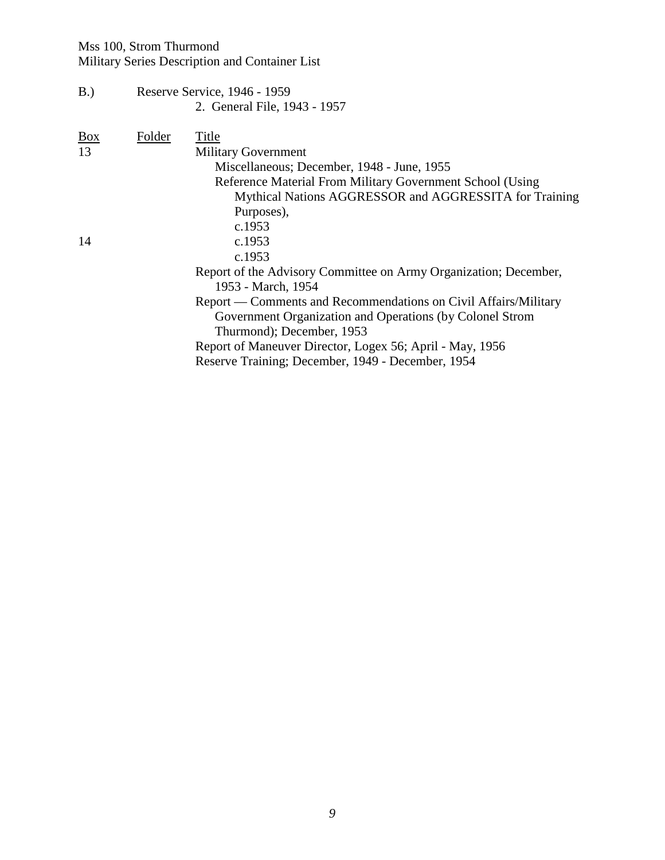B.) Reserve Service, 1946 - 1959 2. General File, 1943 - 1957

| Box | Folder | Title                                                            |
|-----|--------|------------------------------------------------------------------|
| 13  |        | <b>Military Government</b>                                       |
|     |        | Miscellaneous; December, 1948 - June, 1955                       |
|     |        | Reference Material From Military Government School (Using        |
|     |        | Mythical Nations AGGRESSOR and AGGRESSITA for Training           |
|     |        | Purposes),                                                       |
|     |        | c.1953                                                           |
| 14  |        | c.1953                                                           |
|     |        | c.1953                                                           |
|     |        | Report of the Advisory Committee on Army Organization; December, |
|     |        | 1953 - March, 1954                                               |
|     |        | Report — Comments and Recommendations on Civil Affairs/Military  |
|     |        | Government Organization and Operations (by Colonel Strom         |
|     |        | Thurmond); December, 1953                                        |
|     |        | Report of Maneuver Director, Logex 56; April - May, 1956         |
|     |        | Reserve Training; December, 1949 - December, 1954                |
|     |        |                                                                  |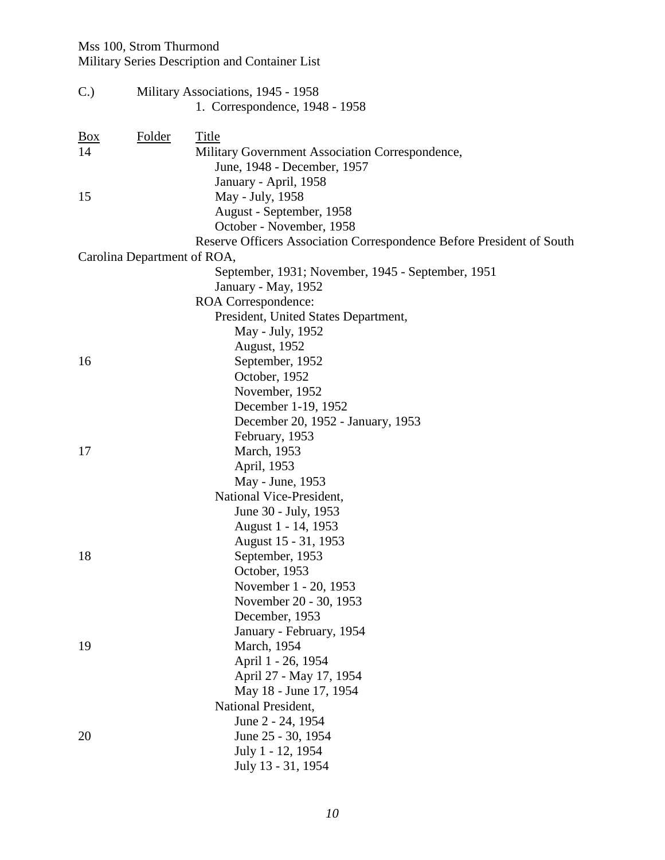| C.         |                             | Military Associations, 1945 - 1958                                    |  |  |  |
|------------|-----------------------------|-----------------------------------------------------------------------|--|--|--|
|            |                             | 1. Correspondence, 1948 - 1958                                        |  |  |  |
| <u>Box</u> | Folder                      | <b>Title</b>                                                          |  |  |  |
| 14         |                             | Military Government Association Correspondence,                       |  |  |  |
|            |                             | June, 1948 - December, 1957                                           |  |  |  |
|            |                             | January - April, 1958                                                 |  |  |  |
| 15         |                             | May - July, 1958                                                      |  |  |  |
|            |                             | August - September, 1958                                              |  |  |  |
|            |                             | October - November, 1958                                              |  |  |  |
|            |                             | Reserve Officers Association Correspondence Before President of South |  |  |  |
|            | Carolina Department of ROA, |                                                                       |  |  |  |
|            |                             | September, 1931; November, 1945 - September, 1951                     |  |  |  |
|            |                             | January - May, 1952                                                   |  |  |  |
|            |                             | ROA Correspondence:                                                   |  |  |  |
|            |                             | President, United States Department,                                  |  |  |  |
|            |                             | May - July, 1952                                                      |  |  |  |
|            |                             | August, 1952                                                          |  |  |  |
| 16         |                             | September, 1952                                                       |  |  |  |
|            |                             | October, 1952                                                         |  |  |  |
|            |                             | November, 1952                                                        |  |  |  |
|            |                             | December 1-19, 1952                                                   |  |  |  |
|            |                             | December 20, 1952 - January, 1953                                     |  |  |  |
|            |                             | February, 1953                                                        |  |  |  |
| 17         |                             | March, 1953                                                           |  |  |  |
|            |                             | April, 1953                                                           |  |  |  |
|            |                             | May - June, 1953                                                      |  |  |  |
|            |                             | National Vice-President,                                              |  |  |  |
|            |                             | June 30 - July, 1953                                                  |  |  |  |
|            |                             | August 1 - 14, 1953                                                   |  |  |  |
|            |                             | August 15 - 31, 1953                                                  |  |  |  |
| 18         |                             | September, 1953                                                       |  |  |  |
|            |                             | October, 1953                                                         |  |  |  |
|            |                             | November 1 - 20, 1953                                                 |  |  |  |
|            |                             | November 20 - 30, 1953                                                |  |  |  |
|            |                             | December, 1953                                                        |  |  |  |
|            |                             | January - February, 1954                                              |  |  |  |
| 19         |                             | March, 1954                                                           |  |  |  |
|            |                             | April 1 - 26, 1954                                                    |  |  |  |
|            |                             | April 27 - May 17, 1954                                               |  |  |  |
|            |                             | May 18 - June 17, 1954                                                |  |  |  |
|            |                             | National President,                                                   |  |  |  |
|            |                             | June 2 - 24, 1954                                                     |  |  |  |
| 20         |                             | June 25 - 30, 1954                                                    |  |  |  |
|            |                             | July 1 - 12, 1954                                                     |  |  |  |
|            |                             | July 13 - 31, 1954                                                    |  |  |  |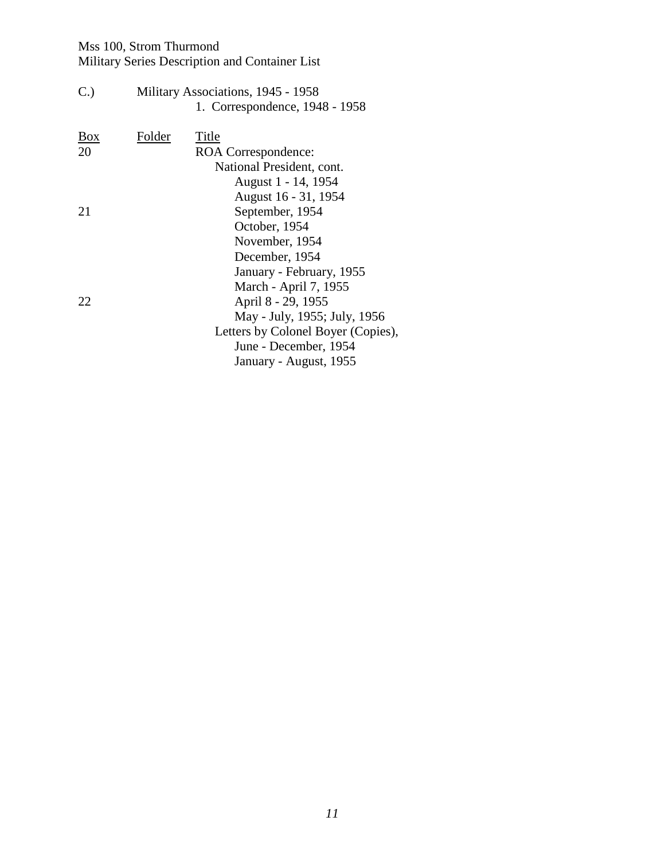| C.                  |        | Military Associations, 1945 - 1958 |
|---------------------|--------|------------------------------------|
|                     |        | 1. Correspondence, 1948 - 1958     |
| $\frac{Box}{angle}$ | Folder | Title                              |
| 20                  |        | ROA Correspondence:                |
|                     |        | National President, cont.          |
|                     |        | August 1 - 14, 1954                |
|                     |        | August 16 - 31, 1954               |
| 21                  |        | September, 1954                    |
|                     |        | October, 1954                      |
|                     |        | November, 1954                     |
|                     |        | December, 1954                     |
|                     |        | January - February, 1955           |
|                     |        | March - April 7, 1955              |
| 22                  |        | April 8 - 29, 1955                 |
|                     |        | May - July, 1955; July, 1956       |
|                     |        | Letters by Colonel Boyer (Copies), |
|                     |        | June - December, 1954              |
|                     |        | January - August, 1955             |
|                     |        |                                    |